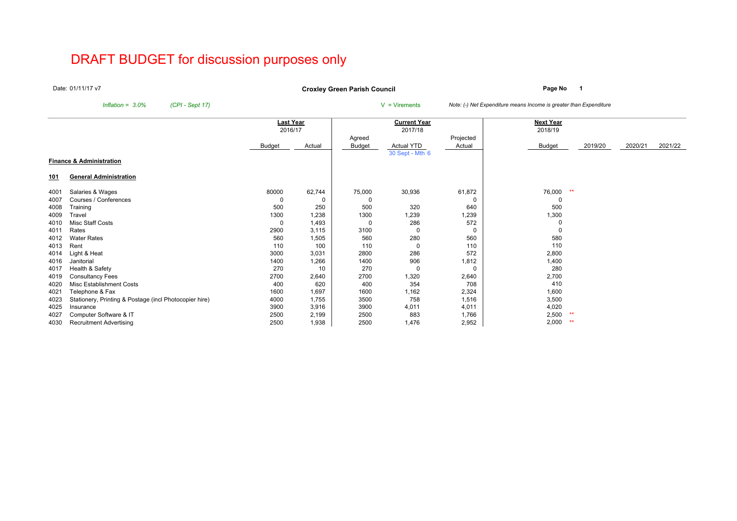# DRAFT BUDGET for discussion purposes only

Date:01/11/17 v7

**Page No <sup>1</sup> Croxley Green Parish Council**

*Inflation* =  $3.0\%$  *(CPI - Sept 17)* V = Virements *Note: (-) Net Expenditure means Income is greater than Expenditure* 

|            |                                                        | <b>Last Year</b> |        |               | <b>Current Year</b> |           | <b>Next Year</b> |         |         |         |
|------------|--------------------------------------------------------|------------------|--------|---------------|---------------------|-----------|------------------|---------|---------|---------|
|            |                                                        | 2016/17          |        |               | 2017/18             |           | 2018/19          |         |         |         |
|            |                                                        |                  |        | Agreed        |                     | Projected |                  |         |         |         |
|            |                                                        | <b>Budget</b>    | Actual | <b>Budget</b> | Actual YTD          | Actual    | Budget           | 2019/20 | 2020/21 | 2021/22 |
|            |                                                        |                  |        |               | 30 Sept - Mth 6     |           |                  |         |         |         |
|            | <b>Finance &amp; Administration</b>                    |                  |        |               |                     |           |                  |         |         |         |
| <u>101</u> | <b>General Administration</b>                          |                  |        |               |                     |           |                  |         |         |         |
| 4001       | Salaries & Wages                                       | 80000            | 62,744 | 75,000        | 30,936              | 61,872    | 76,000<br>**     |         |         |         |
| 4007       | Courses / Conferences                                  |                  | 0      |               |                     | 0         |                  |         |         |         |
| 4008       | Training                                               | 500              | 250    | 500           | 320                 | 640       | 500              |         |         |         |
| 4009       | Travel                                                 | 1300             | 1,238  | 1300          | 1,239               | 1,239     | 1,300            |         |         |         |
| 4010       | Misc Staff Costs                                       |                  | 1,493  | -C            | 286                 | 572       |                  |         |         |         |
| 4011       | Rates                                                  | 2900             | 3,115  | 3100          | 0                   | 0         |                  |         |         |         |
| 4012       | <b>Water Rates</b>                                     | 560              | 1,505  | 560           | 280                 | 560       | 580              |         |         |         |
| 4013       | Rent                                                   | 110              | 100    | 110           | 0                   | 110       | 110              |         |         |         |
| 4014       | Light & Heat                                           | 3000             | 3,031  | 2800          | 286                 | 572       | 2,800            |         |         |         |
| 4016       | Janitorial                                             | 1400             | 1,266  | 1400          | 906                 | 1,812     | 1,400            |         |         |         |
| 4017       | Health & Safety                                        | 270              | 10     | 270           | 0                   | 0         | 280              |         |         |         |
| 4019       | <b>Consultancy Fees</b>                                | 2700             | 2,640  | 2700          | 1,320               | 2,640     | 2,700            |         |         |         |
| 4020       | Misc Establishment Costs                               | 400              | 620    | 400           | 354                 | 708       | 410              |         |         |         |
| 4021       | Telephone & Fax                                        | 1600             | 1,697  | 1600          | 1,162               | 2,324     | 1,600            |         |         |         |
| 4023       | Stationery, Printing & Postage (incl Photocopier hire) | 4000             | 1,755  | 3500          | 758                 | 1,516     | 3,500            |         |         |         |
| 4025       | Insurance                                              | 3900             | 3,916  | 3900          | 4,011               | 4,011     | 4,020            |         |         |         |
| 4027       | Computer Software & IT                                 | 2500             | 2,199  | 2500          | 883                 | 1,766     | 2,500<br>**      |         |         |         |
| 4030       | <b>Recruitment Advertising</b>                         | 2500             | 1,938  | 2500          | 1,476               | 2,952     | 2,000<br>$**$    |         |         |         |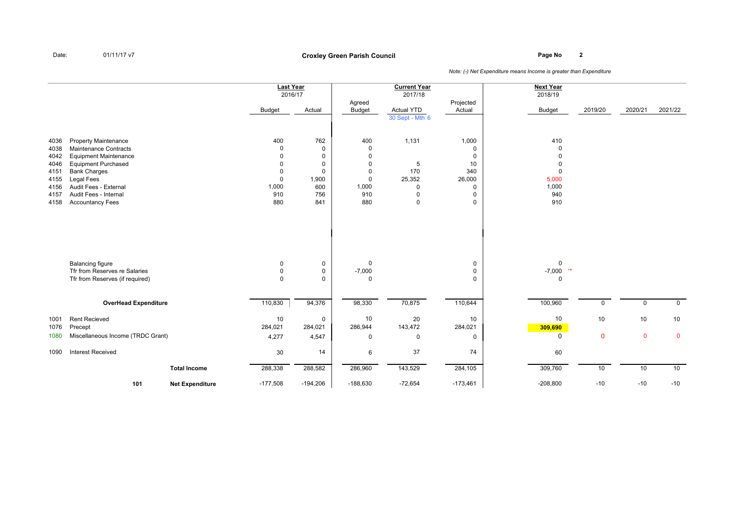# **Page No <sup>2</sup> Croxley Green Parish Council**

|      |                                                                                             |                        | <b>Last Year</b><br>2016/17 |                                 |                              | <b>Current Year</b><br>2017/18 |                       | <b>Next Year</b><br>2018/19 |             |             |             |
|------|---------------------------------------------------------------------------------------------|------------------------|-----------------------------|---------------------------------|------------------------------|--------------------------------|-----------------------|-----------------------------|-------------|-------------|-------------|
|      |                                                                                             |                        | <b>Budget</b>               | Actual                          | Agreed<br><b>Budget</b>      | Actual YTD                     | Projected<br>Actual   | <b>Budget</b>               | 2019/20     | 2020/21     | 2021/22     |
|      |                                                                                             |                        |                             |                                 |                              | 30 Sept - Mth 6                |                       |                             |             |             |             |
| 4036 | <b>Property Maintenance</b>                                                                 |                        | 400                         | 762                             | 400                          | 1,131                          | 1,000                 | 410                         |             |             |             |
| 4038 | <b>Maintenance Contracts</b>                                                                |                        | $\Omega$                    | $\mathbf 0$                     | $\mathbf 0$                  |                                | 0                     | $\Omega$                    |             |             |             |
| 4042 | <b>Equipment Maintenance</b>                                                                |                        | $\Omega$                    | $\mathbf 0$                     | $\mathbf 0$                  |                                | 0                     | $\Omega$                    |             |             |             |
| 4046 | <b>Equipment Purchased</b>                                                                  |                        | U                           | $\mathbf 0$                     | $\mathbf 0$                  | 5                              | 10                    | $\Omega$                    |             |             |             |
| 4151 | <b>Bank Charges</b>                                                                         |                        | 0                           | $\mathbf 0$                     | $\mathbf 0$                  | 170                            | 340                   | $\mathbf 0$                 |             |             |             |
| 4155 | Legal Fees                                                                                  |                        | $\mathbf{0}$                | 1,900                           | $\mathbf 0$                  | 25,352                         | 26,000                | 5,000                       |             |             |             |
| 4156 | Audit Fees - External                                                                       |                        | 1,000                       | 600                             | 1,000                        | $\mathbf 0$                    | 0                     | 1,000                       |             |             |             |
| 4157 | Audit Fees - Internal                                                                       |                        | 910                         | 756                             | 910                          | $\mathbf 0$                    | 0                     | 940                         |             |             |             |
| 4158 | <b>Accountancy Fees</b>                                                                     |                        | 880                         | 841                             | 880                          | $\mathbf 0$                    | $\mathbf 0$           | 910                         |             |             |             |
|      | <b>Balancing figure</b><br>Tfr from Reserves re Salaries<br>Tfr from Reserves (if required) |                        | 0<br>$\Omega$<br>0          | 0<br>$\mathbf 0$<br>$\mathbf 0$ | 0<br>$-7,000$<br>$\mathbf 0$ |                                | 0<br>0<br>$\mathbf 0$ | 0<br>$-7,000$ **<br>0       |             |             |             |
|      | <b>OverHead Expenditure</b>                                                                 |                        | 110,830                     | 94,376                          | 98,330                       | 70,875                         | 110,644               | 100,960                     | 0           | $\mathbf 0$ | $\mathbf 0$ |
| 1001 | <b>Rent Recieved</b>                                                                        |                        | 10                          | $\mathbf 0$                     | 10                           | 20                             | 10                    | 10                          | 10          | 10          | 10          |
| 1076 | Precept                                                                                     |                        | 284,021                     | 284,021                         | 286,944                      | 143,472                        | 284,021               | 309,690                     |             |             |             |
| 1080 | Miscellaneous Income (TRDC Grant)                                                           |                        | 4,277                       | 4,547                           | 0                            | $\mathbf 0$                    | 0                     | 0                           | $\mathbf 0$ | $\pmb{0}$   | $\mathbf 0$ |
| 1090 | <b>Interest Received</b>                                                                    |                        | 30                          | 14                              | 6                            | 37                             | 74                    | 60                          |             |             |             |
|      |                                                                                             | <b>Total Income</b>    | 288,338                     | 288,582                         | 286,960                      | 143,529                        | 284,105               | 309,760                     | 10          | 10          | 10          |
|      | 101                                                                                         | <b>Net Expenditure</b> | $-177,508$                  | $-194,206$                      | $-188,630$                   | $-72,654$                      | $-173,461$            | $-208,800$                  | $-10$       | $-10$       | $-10$       |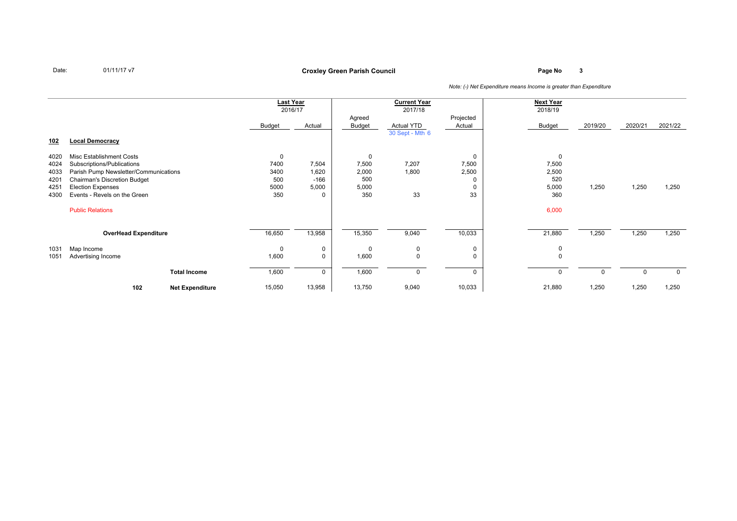### **Page No <sup>3</sup> Croxley Green Parish Council**

|      |                                       |                        | <b>Last Year</b> |        |        | <b>Current Year</b> |           | <b>Next Year</b> |          |          |             |
|------|---------------------------------------|------------------------|------------------|--------|--------|---------------------|-----------|------------------|----------|----------|-------------|
|      |                                       |                        | 2016/17          |        |        | 2017/18             |           | 2018/19          |          |          |             |
|      |                                       |                        |                  |        | Agreed |                     | Projected |                  |          |          |             |
|      |                                       |                        | <b>Budget</b>    | Actual | Budget | Actual YTD          | Actual    | Budget           | 2019/20  | 2020/21  | 2021/22     |
|      |                                       |                        |                  |        |        | 30 Sept - Mth 6     |           |                  |          |          |             |
| 102  | <b>Local Democracy</b>                |                        |                  |        |        |                     |           |                  |          |          |             |
| 4020 | Misc Establishment Costs              |                        | 0                |        | 0      |                     | 0         | 0                |          |          |             |
| 4024 | Subscriptions/Publications            |                        | 7400             | 7,504  | 7,500  | 7,207               | 7,500     | 7,500            |          |          |             |
| 4033 | Parish Pump Newsletter/Communications |                        | 3400             | 1,620  | 2,000  | 1,800               | 2,500     | 2,500            |          |          |             |
| 4201 | <b>Chairman's Discretion Budget</b>   |                        | 500              | $-166$ | 500    |                     |           | 520              |          |          |             |
| 4251 | <b>Election Expenses</b>              |                        | 5000             | 5,000  | 5,000  |                     |           | 5,000            | 1,250    | 1,250    | 1,250       |
| 4300 | Events - Revels on the Green          |                        | 350              | 0      | 350    | 33                  | 33        | 360              |          |          |             |
|      | <b>Public Relations</b>               |                        |                  |        |        |                     |           | 6,000            |          |          |             |
|      |                                       |                        |                  |        |        |                     |           |                  |          |          |             |
|      | <b>OverHead Expenditure</b>           |                        | 16,650           | 13,958 | 15,350 | 9,040               | 10,033    | 21,880           | 1,250    | 1,250    | 1,250       |
| 1031 | Map Income                            |                        | 0                | 0      | 0      | 0                   | 0         | 0                |          |          |             |
| 1051 | Advertising Income                    |                        | 1,600            | 0      | 1,600  | $\mathbf 0$         |           | 0                |          |          |             |
|      |                                       | <b>Total Income</b>    | 1,600            | 0      | 1,600  | 0                   |           | $\mathbf 0$      | $\Omega$ | $\Omega$ | $\mathbf 0$ |
|      | 102                                   | <b>Net Expenditure</b> | 15,050           | 13,958 | 13,750 | 9,040               | 10,033    | 21,880           | 1,250    | 1,250    | 1,250       |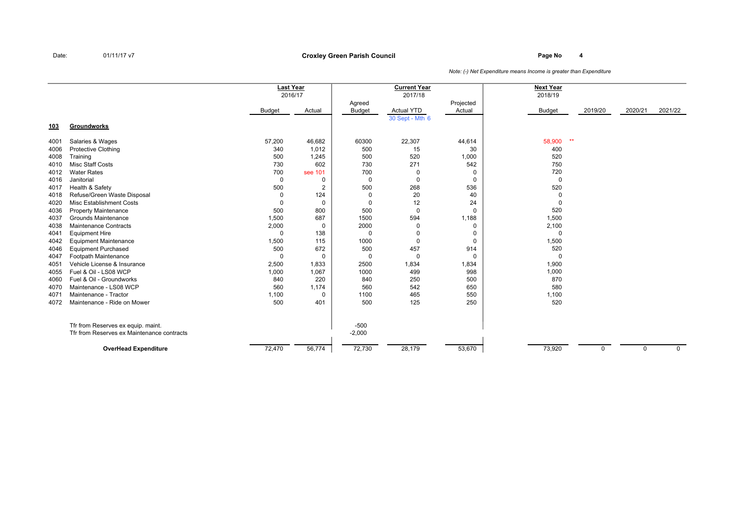### **Page No <sup>4</sup> Croxley Green Parish Council**

|      |                                            | <b>Last Year</b><br>2016/17 |                |                         | <b>Current Year</b><br>2017/18       |                     | <b>Next Year</b><br>2018/19 |          |             |             |
|------|--------------------------------------------|-----------------------------|----------------|-------------------------|--------------------------------------|---------------------|-----------------------------|----------|-------------|-------------|
|      |                                            | Budget                      | Actual         | Agreed<br><b>Budget</b> | <b>Actual YTD</b><br>30 Sept - Mth 6 | Projected<br>Actual | <b>Budget</b>               | 2019/20  | 2020/21     | 2021/22     |
| 103  | Groundworks                                |                             |                |                         |                                      |                     |                             |          |             |             |
| 4001 | Salaries & Wages                           | 57,200                      | 46,682         | 60300                   | 22,307                               | 44,614              | $\star\star$<br>58,900      |          |             |             |
| 4006 | <b>Protective Clothing</b>                 | 340                         | 1,012          | 500                     | 15                                   | 30                  | 400                         |          |             |             |
| 4008 | Training                                   | 500                         | 1,245          | 500                     | 520                                  | 1,000               | 520                         |          |             |             |
| 4010 | Misc Staff Costs                           | 730                         | 602            | 730                     | 271                                  | 542                 | 750                         |          |             |             |
| 4012 | <b>Water Rates</b>                         | 700                         | see 101        | 700                     | 0                                    | 0                   | 720                         |          |             |             |
| 4016 | Janitorial                                 | 0                           | 0              | $\Omega$                | 0                                    | $\mathbf 0$         | $\mathbf 0$                 |          |             |             |
| 4017 | Health & Safety                            | 500                         | $\overline{2}$ | 500                     | 268                                  | 536                 | 520                         |          |             |             |
| 4018 | Refuse/Green Waste Disposal                | $\Omega$                    | 124            | 0                       | 20                                   | 40                  | $\mathbf 0$                 |          |             |             |
| 4020 | <b>Misc Establishment Costs</b>            |                             | 0              | $\Omega$                | 12                                   | 24                  | $\Omega$                    |          |             |             |
| 4036 | <b>Property Maintenance</b>                | 500                         | 800            | 500                     | 0                                    | 0                   | 520                         |          |             |             |
| 4037 | Grounds Maintenance                        | 1,500                       | 687            | 1500                    | 594                                  | 1,188               | 1,500                       |          |             |             |
| 4038 | Maintenance Contracts                      | 2,000                       | 0              | 2000                    | $\Omega$                             | 0                   | 2,100                       |          |             |             |
| 4041 | <b>Equipment Hire</b>                      | $\Omega$                    | 138            | 0                       |                                      | 0                   | $\Omega$                    |          |             |             |
| 4042 | <b>Equipment Maintenance</b>               | 1,500                       | 115            | 1000                    | $\Omega$                             | $\mathbf 0$         | 1,500                       |          |             |             |
| 4046 | <b>Equipment Purchased</b>                 | 500                         | 672            | 500                     | 457                                  | 914                 | 520                         |          |             |             |
| 4047 | Footpath Maintenance                       | 0                           | 0              | 0                       | 0                                    | 0                   | $\Omega$                    |          |             |             |
| 4051 | Vehicle License & Insurance                | 2,500                       | 1,833          | 2500                    | 1,834                                | 1,834               | 1,900                       |          |             |             |
| 4055 | Fuel & Oil - LS08 WCP                      | 1,000                       | 1,067          | 1000                    | 499                                  | 998                 | 1,000                       |          |             |             |
| 4060 | Fuel & Oil - Groundworks                   | 840                         | 220            | 840                     | 250                                  | 500                 | 870                         |          |             |             |
| 4070 | Maintenance - LS08 WCP                     | 560                         | 1,174          | 560                     | 542                                  | 650                 | 580                         |          |             |             |
| 4071 | Maintenance - Tractor                      | 1,100                       | $\Omega$       | 1100                    | 465                                  | 550                 | 1,100                       |          |             |             |
| 4072 | Maintenance - Ride on Mower                | 500                         | 401            | 500                     | 125                                  | 250                 | 520                         |          |             |             |
|      | Tfr from Reserves ex equip. maint.         |                             |                | $-500$                  |                                      |                     |                             |          |             |             |
|      | Tfr from Reserves ex Maintenance contracts |                             |                | $-2,000$                |                                      |                     |                             |          |             |             |
|      | <b>OverHead Expenditure</b>                | 72,470                      | 56,774         | 72,730                  | 28,179                               | 53,670              | 73,920                      | $\Omega$ | $\mathbf 0$ | $\mathbf 0$ |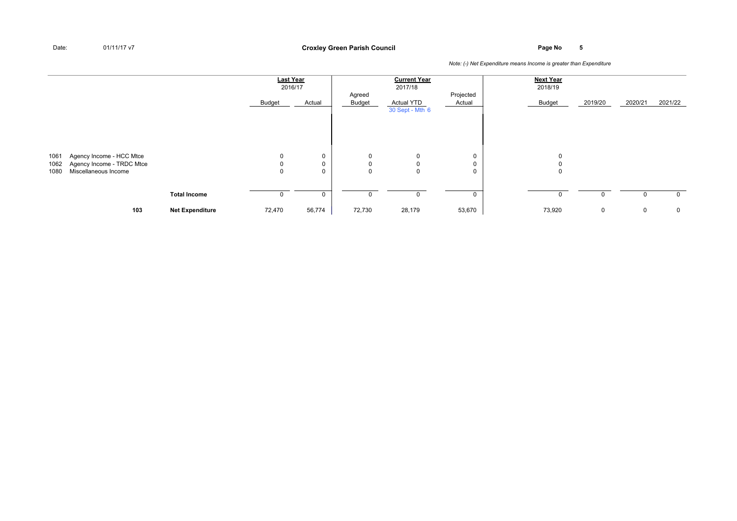**Page No <sup>5</sup> Croxley Green Parish Council**

|      |                           |                        | <b>Last Year</b><br>2016/17 |             |                  | <b>Current Year</b><br>2017/18 |                     | <b>Next Year</b><br>2018/19 |         |         |             |
|------|---------------------------|------------------------|-----------------------------|-------------|------------------|--------------------------------|---------------------|-----------------------------|---------|---------|-------------|
|      |                           |                        | Budget                      | Actual      | Agreed<br>Budget | <b>Actual YTD</b>              | Projected<br>Actual | Budget                      | 2019/20 | 2020/21 | 2021/22     |
|      |                           |                        |                             |             |                  | 30 Sept - Mth 6                |                     |                             |         |         |             |
|      |                           |                        |                             |             |                  |                                |                     |                             |         |         |             |
|      |                           |                        |                             |             |                  |                                |                     |                             |         |         |             |
| 1061 | Agency Income - HCC Mtce  |                        | 0                           | 0           | 0                | 0                              | 0                   |                             |         |         |             |
| 1062 | Agency Income - TRDC Mtce |                        |                             | $\mathbf 0$ | 0                | 0                              | 0                   |                             |         |         |             |
| 1080 | Miscellaneous Income      |                        | 0                           | $\mathbf 0$ | 0                | $\mathbf 0$                    | 0                   | 0                           |         |         |             |
|      |                           |                        |                             |             |                  |                                |                     |                             |         |         |             |
|      |                           | <b>Total Income</b>    |                             | 0           | 0                | 0                              | 0                   |                             |         |         | $\mathbf 0$ |
|      | 103                       | <b>Net Expenditure</b> | 72,470                      | 56,774      | 72,730           | 28,179                         | 53,670              | 73,920                      | 0       | 0       | $\mathbf 0$ |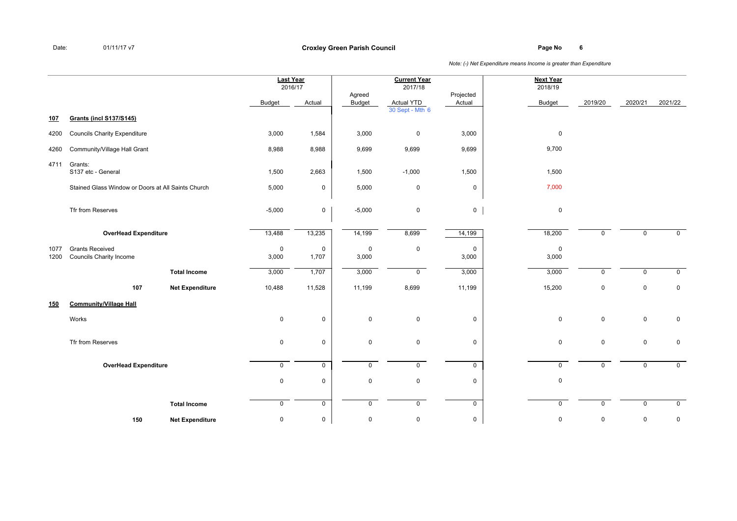**Page No <sup>6</sup> Croxley Green Parish Council**

|              |                                                          |                        | Last Year<br>2016/17 |                      |                         | <b>Current Year</b><br>2017/18 |                      | <b>Next Year</b><br>2018/19 |              |             |                |
|--------------|----------------------------------------------------------|------------------------|----------------------|----------------------|-------------------------|--------------------------------|----------------------|-----------------------------|--------------|-------------|----------------|
|              |                                                          |                        | <b>Budget</b>        | Actual               | Agreed<br><b>Budget</b> | <b>Actual YTD</b>              | Projected<br>Actual  | <b>Budget</b>               | 2019/20      | 2020/21     | 2021/22        |
| 107          | <b>Grants (incl S137/S145)</b>                           |                        |                      |                      |                         | 30 Sept - Mth 6                |                      |                             |              |             |                |
| 4200         | <b>Councils Charity Expenditure</b>                      |                        | 3,000                | 1,584                | 3,000                   | $\mathsf 0$                    | 3,000                | $\mathbf 0$                 |              |             |                |
| 4260         | Community/Village Hall Grant                             |                        | 8,988                | 8,988                | 9,699                   | 9,699                          | 9,699                | 9,700                       |              |             |                |
| 4711         | Grants:<br>S137 etc - General                            |                        | 1,500                | 2,663                | 1,500                   | $-1,000$                       | 1,500                | 1,500                       |              |             |                |
|              | Stained Glass Window or Doors at All Saints Church       |                        | 5,000                | $\mathbf 0$          | 5,000                   | 0                              | $\mathbf 0$          | 7,000                       |              |             |                |
|              | Tfr from Reserves                                        |                        | $-5,000$             | 0                    | $-5,000$                | $\mathsf 0$                    | $\mathbf 0$          | $\mathbf 0$                 |              |             |                |
|              | <b>OverHead Expenditure</b>                              |                        | 13,488               | 13,235               | 14,199                  | 8,699                          | 14,199               | 18,200                      | $\mathsf{O}$ | $\mathbf 0$ | $\overline{0}$ |
| 1077<br>1200 | <b>Grants Received</b><br><b>Councils Charity Income</b> |                        | 0<br>3,000           | $\mathbf 0$<br>1,707 | $\mathbf 0$<br>3,000    | 0                              | $\mathbf 0$<br>3,000 | $\mathbf 0$<br>3,000        |              |             |                |
|              |                                                          | <b>Total Income</b>    | 3,000                | 1,707                | 3,000                   | $\mathbf 0$                    | 3,000                | 3,000                       | $\mathsf{O}$ | $\mathbf 0$ | $\mathbf 0$    |
|              | 107                                                      | <b>Net Expenditure</b> | 10,488               | 11,528               | 11,199                  | 8,699                          | 11,199               | 15,200                      | $\mathbf 0$  | $\mathbf 0$ | $\mathbf 0$    |
| 150          | <b>Community/Village Hall</b>                            |                        |                      |                      |                         |                                |                      |                             |              |             |                |
|              | Works                                                    |                        | 0                    | $\mathbf 0$          | $\mathbf 0$             | $\mathbf 0$                    | $\mathbf 0$          | $\mathbf 0$                 | $\mathbf 0$  | $\mathbf 0$ | $\mathbf 0$    |
|              | Tfr from Reserves                                        |                        | $\mathbf 0$          | 0                    | $\mathbf 0$             | $\mathbf 0$                    | $\mathbf 0$          | $\mathbf 0$                 | $\mathbf 0$  | $\mathbf 0$ | $\pmb{0}$      |
|              | <b>OverHead Expenditure</b>                              |                        | $\mathsf{O}$         | $\overline{0}$       | $\mathbf 0$             | $\overline{0}$                 | $\mathbf 0$          | $\mathbf 0$                 | $\mathbf 0$  | $\mathbf 0$ | $\overline{0}$ |
|              |                                                          |                        | $\mathbf 0$          | 0                    | $\mathbf 0$             | 0                              | $\mathbf 0$          | $\mathsf 0$                 |              |             |                |
|              |                                                          | <b>Total Income</b>    | $\mathsf{O}$         | $\mathsf{O}$         | $\mathbf 0$             | $\mathbf 0$                    | $\mathbf 0$          | $\mathbf 0$                 | $\mathbf 0$  | $\mathbf 0$ | $\overline{0}$ |
|              | 150                                                      | <b>Net Expenditure</b> | 0                    | 0                    | $\mathbf 0$             | 0                              | 0                    | $\mathbf 0$                 | $\mathbf 0$  | $\mathbf 0$ | $\pmb{0}$      |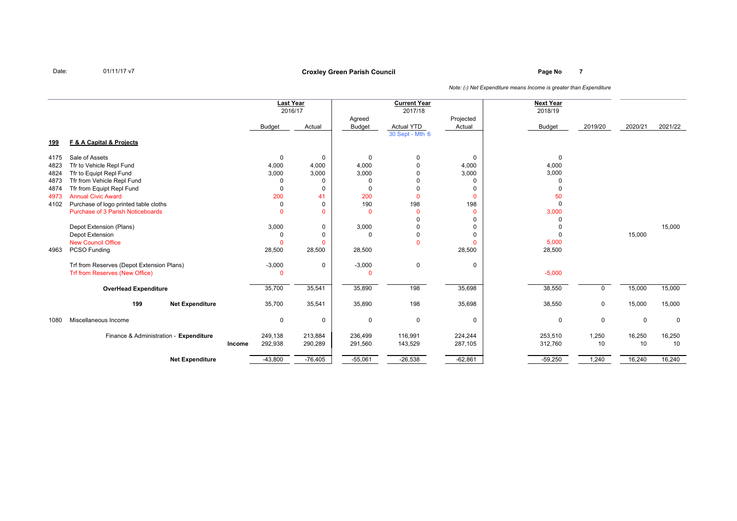# **Page No <sup>7</sup> Croxley Green Parish Council**

|            |                                           |        | <b>Last Year</b> | 2016/17      |                | <b>Current Year</b><br>2017/18 |              | <b>Next Year</b><br>2018/19 |             |             |             |
|------------|-------------------------------------------|--------|------------------|--------------|----------------|--------------------------------|--------------|-----------------------------|-------------|-------------|-------------|
|            |                                           |        |                  |              | Agreed         |                                | Projected    |                             |             |             |             |
|            |                                           |        | Budget           | Actual       | <b>Budget</b>  | Actual YTD                     | Actual       | Budget                      | 2019/20     | 2020/21     | 2021/22     |
| <u>199</u> | F & A Capital & Projects                  |        |                  |              |                | 30 Sept - Mth 6                |              |                             |             |             |             |
| 4175       | Sale of Assets                            |        | 0                | 0            | 0              | 0                              | 0            | $\mathbf 0$                 |             |             |             |
| 4823       | Tfr to Vehicle Repl Fund                  |        | 4,000            | 4,000        | 4,000          | $\Omega$                       | 4,000        | 4,000                       |             |             |             |
| 4824       | Tfr to Equipt Repl Fund                   |        | 3,000            | 3,000        | 3,000          | $\Omega$                       | 3,000        | 3,000                       |             |             |             |
| 4873       | Tfr from Vehicle Repl Fund                |        | <sup>0</sup>     | 0            | $\Omega$       | $\Omega$                       | 0            | $\Omega$                    |             |             |             |
| 4874       | Tfr from Equipt Repl Fund                 |        | $\Omega$         | 0            | $\Omega$       | $\Omega$                       | 0            | $\Omega$                    |             |             |             |
| 4973       | <b>Annual Civic Award</b>                 |        | 200              | 41           | 200            | $\Omega$                       | $\mathbf{0}$ | 50                          |             |             |             |
| 4102       | Purchase of logo printed table cloths     |        | $\Omega$         | 0            | 190            | 198                            | 198          | $\Omega$                    |             |             |             |
|            | Purchase of 3 Parish Noticeboards         |        | $\Omega$         | $\mathbf{0}$ | $\overline{0}$ | $\Omega$                       | $\mathbf{0}$ | 3,000                       |             |             |             |
|            |                                           |        |                  |              |                |                                | 0            | $\Omega$                    |             |             |             |
|            | Depot Extension (Plans)                   |        | 3,000            | 0            | 3,000          | $\Omega$                       | 0            |                             |             |             | 15,000      |
|            | Depot Extension                           |        |                  | 0            | $\Omega$       | 0                              | 0            | $\Omega$                    |             | 15,000      |             |
|            | <b>New Council Office</b>                 |        | O                | $\mathbf{0}$ |                | $\Omega$                       | $\mathbf{0}$ | 5,000                       |             |             |             |
| 4963       | PCSO Funding                              |        | 28,500           | 28,500       | 28,500         |                                | 28,500       | 28,500                      |             |             |             |
|            | Trf from Reserves (Depot Extension Plans) |        | $-3,000$         | 0            | $-3,000$       | 0                              | 0            |                             |             |             |             |
|            | Trf from Reserves (New Office)            |        | 0                |              | $\Omega$       |                                |              | $-5,000$                    |             |             |             |
|            | <b>OverHead Expenditure</b>               |        | 35,700           | 35,541       | 35,890         | 198                            | 35,698       | 38,550                      | U           | 15,000      | 15,000      |
|            | 199<br><b>Net Expenditure</b>             |        | 35,700           | 35,541       | 35,890         | 198                            | 35,698       | 38,550                      | $\mathbf 0$ | 15,000      | 15,000      |
| 1080       | Miscellaneous Income                      |        | $\mathbf 0$      | 0            | 0              | $\mathbf 0$                    | 0            | $\mathbf 0$                 | $\mathbf 0$ | $\mathbf 0$ | $\mathbf 0$ |
|            | Finance & Administration - Expenditure    |        | 249,138          | 213,884      | 236,499        | 116,991                        | 224,244      | 253,510                     | 1,250       | 16,250      | 16,250      |
|            |                                           | Income | 292,938          | 290,289      | 291,560        | 143,529                        | 287,105      | 312,760                     | 10          | 10          | 10          |
|            | <b>Net Expenditure</b>                    |        | $-43,800$        | $-76,405$    | $-55,061$      | $-26,538$                      | $-62,861$    | $-59,250$                   | 1,240       | 16,240      | 16,240      |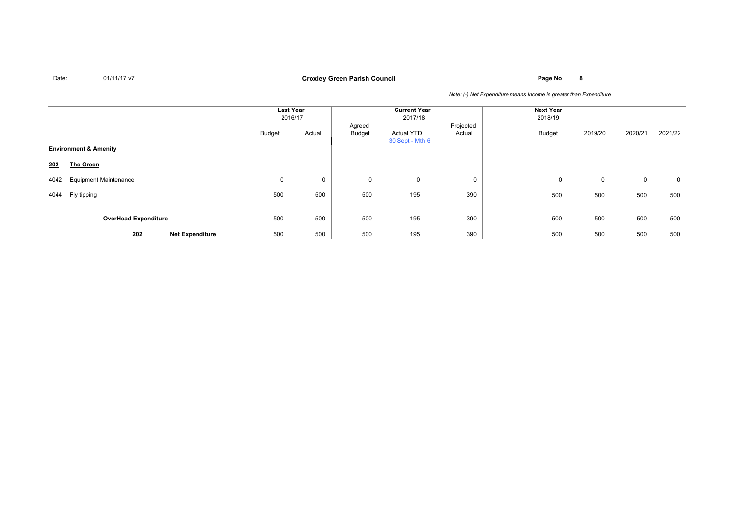**Page No <sup>8</sup> Croxley Green Parish Council**

|      |                                  |                        | <b>Last Year</b><br>2016/17 |        | <b>Current Year</b><br>2017/18 |                               | <b>Next Year</b><br>2018/19 |        |         |             |         |
|------|----------------------------------|------------------------|-----------------------------|--------|--------------------------------|-------------------------------|-----------------------------|--------|---------|-------------|---------|
|      |                                  |                        | Budget                      | Actual | Agreed<br>Budget               | Actual YTD<br>30 Sept - Mth 6 | Projected<br>Actual         | Budget | 2019/20 | 2020/21     | 2021/22 |
|      | <b>Environment &amp; Amenity</b> |                        |                             |        |                                |                               |                             |        |         |             |         |
| 202  | <b>The Green</b>                 |                        |                             |        |                                |                               |                             |        |         |             |         |
| 4042 | <b>Equipment Maintenance</b>     |                        | 0                           | 0      | 0                              | 0                             | 0                           | 0      | 0       | $\mathbf 0$ | 0       |
| 4044 | Fly tipping                      |                        | 500                         | 500    | 500                            | 195                           | 390                         | 500    | 500     | 500         | 500     |
|      | <b>OverHead Expenditure</b>      |                        | 500                         | 500    | 500                            | 195                           | 390                         | 500    | 500     | 500         | 500     |
|      | 202                              | <b>Net Expenditure</b> | 500                         | 500    | 500                            | 195                           | 390                         | 500    | 500     | 500         | 500     |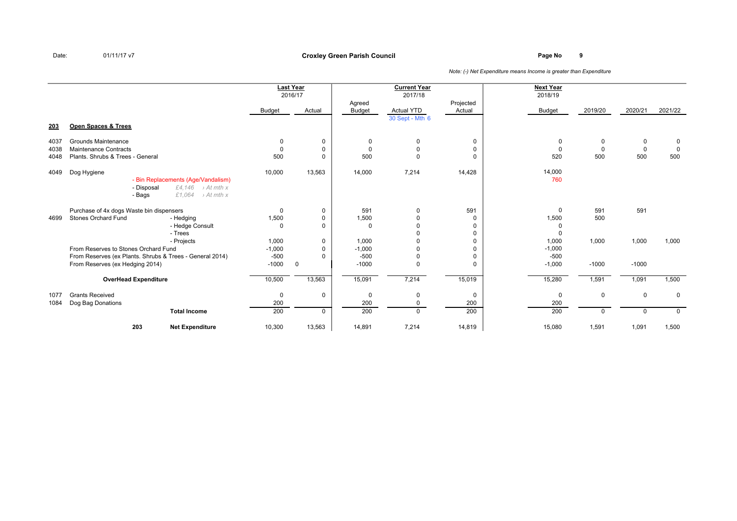# **Page No <sup>9</sup> Croxley Green Parish Council**

|             |                                                                                                                                    |          | <b>Last Year</b><br>2016/17 | Agreed        | <b>Current Year</b><br>2017/18 | Projected   | <b>Next Year</b><br>2018/19 |             |              |             |
|-------------|------------------------------------------------------------------------------------------------------------------------------------|----------|-----------------------------|---------------|--------------------------------|-------------|-----------------------------|-------------|--------------|-------------|
|             |                                                                                                                                    | Budget   | Actual                      | <b>Budget</b> | <b>Actual YTD</b>              | Actual      | <b>Budget</b>               | 2019/20     | 2020/21      | 2021/22     |
| <u> 203</u> | <b>Open Spaces &amp; Trees</b>                                                                                                     |          |                             |               | 30 Sept - Mth 6                |             |                             |             |              |             |
| 4037        | Grounds Maintenance                                                                                                                | 0        | 0                           | 0             | 0                              | 0           | 0                           | 0           | 0            | 0           |
| 4038        | <b>Maintenance Contracts</b>                                                                                                       | $\Omega$ | 0                           | $\Omega$      | $\Omega$                       | $\mathbf 0$ | $\Omega$                    | $\Omega$    | $\mathbf 0$  | $\mathbf 0$ |
| 4048        | Plants, Shrubs & Trees - General                                                                                                   | 500      | $\Omega$                    | 500           | $\Omega$                       | $\Omega$    | 520                         | 500         | 500          | 500         |
| 4049        | Dog Hygiene<br>- Bin Replacements (Age/Vandalism)<br>- Disposal<br>£4,146 > At mth x<br>£1,064<br>$\rightarrow$ At mth x<br>- Bags | 10,000   | 13,563                      | 14,000        | 7,214                          | 14,428      | 14,000<br>760               |             |              |             |
|             | Purchase of 4x dogs Waste bin dispensers                                                                                           | 0        | 0                           | 591           | $\Omega$                       | 591         | $\mathbf 0$                 | 591         | 591          |             |
| 4699        | <b>Stones Orchard Fund</b><br>- Hedging                                                                                            | 1,500    | 0                           | 1,500         |                                | 0           | 1,500                       | 500         |              |             |
|             | - Hedge Consult                                                                                                                    | $\Omega$ | 0                           | $\Omega$      |                                | 0           | $\Omega$                    |             |              |             |
|             | - Trees                                                                                                                            |          |                             |               |                                | 0           | $\Omega$                    |             |              |             |
|             | - Projects                                                                                                                         | 1,000    | 0                           | 1,000         |                                | $\mathbf 0$ | 1,000                       | 1,000       | 1,000        | 1,000       |
|             | From Reserves to Stones Orchard Fund                                                                                               | $-1,000$ | 0                           | $-1,000$      |                                | $\mathbf 0$ | $-1,000$                    |             |              |             |
|             | From Reserves (ex Plants. Shrubs & Trees - General 2014)                                                                           | $-500$   | $\Omega$                    | $-500$        |                                | 0           | $-500$                      |             |              |             |
|             | From Reserves (ex Hedging 2014)                                                                                                    | $-1000$  | $\mathbf 0$                 | $-1000$       | $\Omega$                       | $\Omega$    | $-1,000$                    | $-1000$     | $-1000$      |             |
|             | <b>OverHead Expenditure</b>                                                                                                        | 10,500   | 13,563                      | 15,091        | 7,214                          | 15,019      | 15,280                      | 1,591       | 1,091        | 1,500       |
| 1077        | <b>Grants Received</b>                                                                                                             | 0        | 0                           | $\Omega$      | 0                              | 0           | 0                           | $\mathbf 0$ | $\mathbf 0$  | $\mathbf 0$ |
| 1084        | Dog Bag Donations                                                                                                                  | 200      |                             | 200           | 0                              | 200         | 200                         |             |              |             |
|             | <b>Total Income</b>                                                                                                                | 200      | $\Omega$                    | 200           | $\Omega$                       | 200         | 200                         | $\Omega$    | $\mathbf{0}$ | $\mathbf 0$ |
|             | 203<br><b>Net Expenditure</b>                                                                                                      | 10,300   | 13,563                      | 14,891        | 7,214                          | 14,819      | 15,080                      | 1,591       | 1,091        | 1,500       |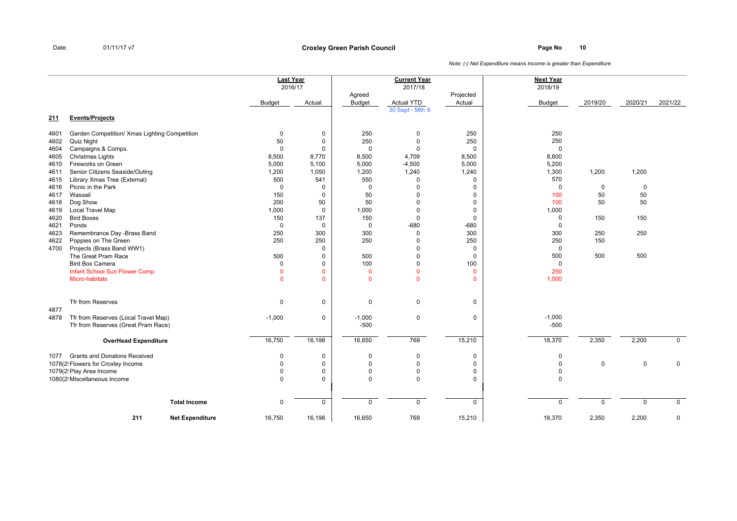**Page No <sup>10</sup> Croxley Green Parish Council**

|      |                                               | <b>Last Year</b> |              |                | <b>Current Year</b> |              | <b>Next Year</b> |             |         |                |
|------|-----------------------------------------------|------------------|--------------|----------------|---------------------|--------------|------------------|-------------|---------|----------------|
|      |                                               | 2016/17          |              |                | 2017/18             |              | 2018/19          |             |         |                |
|      |                                               |                  |              | Agreed         |                     | Projected    |                  |             |         |                |
|      |                                               | Budget           | Actual       | <b>Budget</b>  | <b>Actual YTD</b>   | Actual       | <b>Budget</b>    | 2019/20     | 2020/21 | 2021/22        |
|      |                                               |                  |              |                | 30 Sept - Mth 6     |              |                  |             |         |                |
| 211  | <b>Events/Projects</b>                        |                  |              |                |                     |              |                  |             |         |                |
| 4601 | Garden Competition/ Xmas Lighting Competition | $\mathbf 0$      | 0            | 250            | $\mathbf 0$         | 250          | 250              |             |         |                |
| 4602 | Quiz Night                                    | 50               | $\mathbf 0$  | 250            | $\Omega$            | 250          | 250              |             |         |                |
| 4604 | Campaigns & Comps.                            | $\mathbf 0$      | 0            | $\Omega$       | $\Omega$            | 0            | 0                |             |         |                |
| 4605 | Christmas Lights                              | 8,500            | 8,770        | 8,500          | 4,709               | 8,500        | 8,800            |             |         |                |
| 4610 | Fireworks on Green                            | 5,000            | 5,100        | 5,000          | $-4,500$            | 5,000        | 5,200            |             |         |                |
| 4611 | Senior Citizens Seaside/Outing                | 1,200            | 1,050        | 1,200          | 1,240               | 1,240        | 1,300            | 1,200       | 1,200   |                |
| 4615 | Library Xmas Tree (External)                  | 500              | 541          | 550            | $\Omega$            | 0            | 570              |             |         |                |
| 4616 | Picnic in the Park                            | $\mathbf 0$      | 0            | $\mathbf 0$    | $\Omega$            | 0            | 0                | $\mathbf 0$ | 0       |                |
| 4617 | Wassail                                       | 150              | 0            | 50             |                     | 0            | 100              | 50          | 50      |                |
| 4618 | Dog Show                                      | 200              | 50           | 50             |                     | 0            | 100              | 50          | 50      |                |
| 4619 | <b>Local Travel Map</b>                       | 1,000            | $\mathbf 0$  | 1,000          | $\Omega$            | 0            | 1,000            |             |         |                |
| 4620 | <b>Bird Boxes</b>                             | 150              | 137          | 150            | $\Omega$            | 0            | 0                | 150         | 150     |                |
| 4621 | Ponds                                         | $\mathbf 0$      | $\mathbf 0$  | $\mathbf 0$    | $-680$              | $-680$       | 0                |             |         |                |
| 4623 | Remembrance Day -Brass Band                   | 250              | 300          | 300            | $\Omega$            | 300          | 300              | 250         | 250     |                |
| 4622 | Poppies on The Green                          | 250              | 250          | 250            | $\Omega$            | 250          | 250              | 150         |         |                |
| 4700 | Projects (Brass Band WW1)                     |                  | 0            |                | $\Omega$            | 0            | 0                |             |         |                |
|      | The Great Pram Race                           | 500              | 0            | 500            | $\Omega$            | 0            | 500              | 500         | 500     |                |
|      | <b>Bird Box Camera</b>                        | 0                | 0            | 100            | $\Omega$            | 100          | 0                |             |         |                |
|      | Infant School Sun Flower Comp                 | $\Omega$         | $\mathbf{0}$ | $\overline{0}$ | $\Omega$            | $\mathbf{0}$ | 250              |             |         |                |
|      | <b>Micro-habitats</b>                         | $\mathbf{0}$     | $\mathbf{0}$ | $\overline{0}$ | $\mathbf{0}$        | $\mathbf{0}$ | 1,000            |             |         |                |
|      |                                               |                  |              |                |                     |              |                  |             |         |                |
|      | Tfr from Reserves                             | $\mathbf 0$      | 0            | 0              | $\mathbf 0$         | 0            |                  |             |         |                |
| 4877 |                                               |                  |              |                |                     |              |                  |             |         |                |
| 4878 | Tfr from Reserves (Local Travel Map)          | $-1,000$         | 0            | $-1,000$       | $\mathbf 0$         | 0            | $-1,000$         |             |         |                |
|      | Tfr from Reserves (Great Pram Race)           |                  |              | $-500$         |                     |              | $-500$           |             |         |                |
|      | <b>OverHead Expenditure</b>                   | 16,750           | 16,198       | 16,650         | 769                 | 15,210       | 18,370           | 2,350       | 2,200   | $\overline{0}$ |
|      |                                               |                  |              |                |                     |              |                  |             |         |                |
| 1077 | <b>Grants and Donatons Received</b>           | 0                | 0            | 0              | 0                   | 0            | 0                |             |         |                |
|      | 1078(2! Flowers for Croxley Income            | $\Omega$         | $\mathbf 0$  | $\mathbf 0$    | $\Omega$            | 0            | 0                | $\mathbf 0$ | 0       | $\mathbf 0$    |
|      | 1079(2! Play Area Income                      | $\mathbf 0$      | 0            | $\mathbf 0$    | $\Omega$            | 0            | 0                |             |         |                |
|      | 1080(2! Miscellaneous Income                  | 0                | 0            | $\mathbf 0$    | $\mathbf 0$         | 0            | 0                |             |         |                |
|      |                                               |                  |              |                |                     |              |                  |             |         |                |
|      | <b>Total Income</b>                           | $\mathbf 0$      | 0            | $\mathbf 0$    | $\mathbf 0$         | $\mathbf 0$  | $\mathbf 0$      | $\mathbf 0$ | 0       | $\mathbf 0$    |
|      |                                               |                  |              |                |                     |              |                  |             |         |                |
|      | 211<br><b>Net Expenditure</b>                 | 16,750           | 16,198       | 16,650         | 769                 | 15,210       | 18,370           | 2,350       | 2,200   | 0              |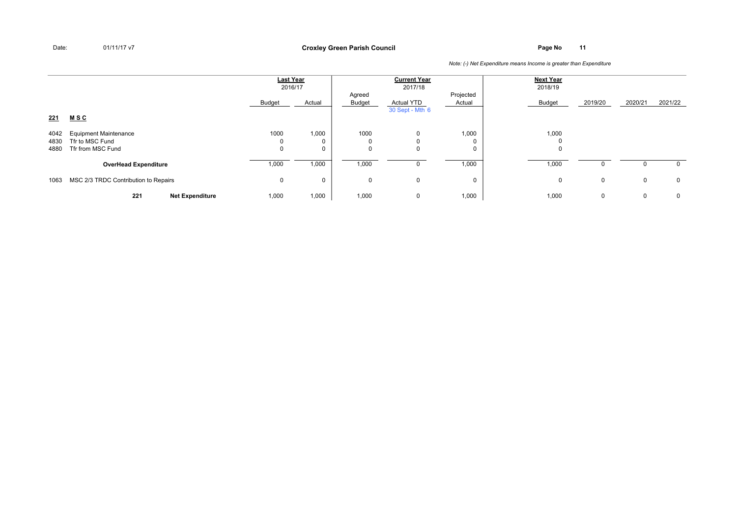**Page No <sup>11</sup> Croxley Green Parish Council**

|                      |                                                                      | Last Year<br>2016/17 |                           | <b>Current Year</b><br>2017/18<br>Projected<br>Agreed |                                      |                 | <b>Next Year</b><br>2018/19 |         |             |             |
|----------------------|----------------------------------------------------------------------|----------------------|---------------------------|-------------------------------------------------------|--------------------------------------|-----------------|-----------------------------|---------|-------------|-------------|
|                      |                                                                      | Budget               | Actual                    | Budget                                                | <b>Actual YTD</b><br>30 Sept - Mth 6 | Actual          | Budget                      | 2019/20 | 2020/21     | 2021/22     |
| 221                  | <u>MSC</u>                                                           |                      |                           |                                                       |                                      |                 |                             |         |             |             |
| 4042<br>4830<br>4880 | <b>Equipment Maintenance</b><br>Tfr to MSC Fund<br>Tfr from MSC Fund | 1000<br>U<br>0       | 1,000<br>0<br>$\mathbf 0$ | 1000                                                  | $\Omega$<br>$\Omega$                 | 1,000<br>0<br>0 | 1,000<br>υ                  |         |             |             |
|                      | <b>OverHead Expenditure</b>                                          | 1,000                | 1,000                     | 1,000                                                 |                                      | 1,000           | 1,000                       |         |             | 0           |
| 1063                 | MSC 2/3 TRDC Contribution to Repairs                                 | 0                    | 0                         | $\Omega$                                              | 0                                    | 0               | 0                           | 0       | $\mathbf 0$ | $\mathbf 0$ |
|                      | 221<br><b>Net Expenditure</b>                                        | 1,000                | 1,000                     | 1,000                                                 | 0                                    | 1,000           | 1,000                       | 0       | 0           | 0           |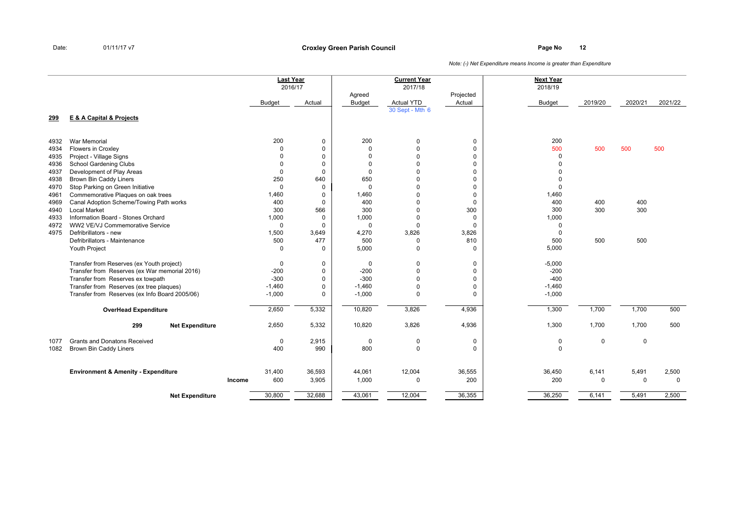**Page No <sup>12</sup> Croxley Green Parish Council**

|              |                                                                        |        | <b>Last Year</b><br>2016/17 |                            |                         | <b>Current Year</b><br>2017/18 |                            | <b>Next Year</b><br>2018/19 |             |             |             |
|--------------|------------------------------------------------------------------------|--------|-----------------------------|----------------------------|-------------------------|--------------------------------|----------------------------|-----------------------------|-------------|-------------|-------------|
|              |                                                                        |        | <b>Budget</b>               | Actual                     | Agreed<br><b>Budget</b> | <b>Actual YTD</b>              | Projected<br>Actual        | <b>Budget</b>               | 2019/20     | 2020/21     | 2021/22     |
|              |                                                                        |        |                             |                            |                         | 30 Sept - Mth 6                |                            |                             |             |             |             |
| 299          | <b>E &amp; A Capital &amp; Projects</b>                                |        |                             |                            |                         |                                |                            |                             |             |             |             |
| 4932         | War Memorial                                                           |        | 200                         | $\mathbf 0$                | 200                     | 0                              | $\mathbf 0$                | 200                         |             |             |             |
| 4934         | Flowers in Croxley                                                     |        | $\Omega$                    | $\mathbf 0$                | $\Omega$                | $\Omega$                       | $\mathbf 0$                | 500                         | 500         | 500         | 500         |
| 4935         | Project - Village Signs                                                |        | $\Omega$                    | $\mathbf 0$                | $\mathbf 0$             | $\Omega$                       | $\mathbf 0$                | $\mathbf 0$                 |             |             |             |
| 4936         | <b>School Gardening Clubs</b>                                          |        | $\Omega$                    | $\mathbf 0$                | $\mathbf 0$             | 0                              | $\mathbf 0$                | $\Omega$                    |             |             |             |
| 4937         | Development of Play Areas                                              |        | 0                           | $\mathbf 0$                | $\mathbf 0$             | U                              | $\mathbf 0$                | $\Omega$                    |             |             |             |
| 4938         | <b>Brown Bin Caddy Liners</b>                                          |        | 250                         | 640                        | 650<br>$\Omega$         | $\Omega$                       | $\mathbf 0$                | $\Omega$                    |             |             |             |
| 4970         | Stop Parking on Green Initiative<br>Commemorative Plaques on oak trees |        | 0<br>1,460                  | 0                          | 1,460                   | $\Omega$<br>0                  | $\mathbf 0$                | $\Omega$<br>1,460           |             |             |             |
| 4961<br>4969 | Canal Adoption Scheme/Towing Path works                                |        | 400                         | $\mathbf 0$<br>$\mathbf 0$ | 400                     | $\Omega$                       | $\mathbf 0$<br>$\mathbf 0$ | 400                         | 400         | 400         |             |
| 4940         | <b>Local Market</b>                                                    |        | 300                         | 566                        | 300                     | $\Omega$                       | 300                        | 300                         | 300         | 300         |             |
| 4933         | Information Board - Stones Orchard                                     |        | 1,000                       | $\mathbf 0$                | 1,000                   | 0                              | $\mathbf 0$                | 1,000                       |             |             |             |
| 4972         | WW2 VE/VJ Commemorative Service                                        |        | 0                           | $\overline{0}$             | $\mathbf 0$             | 0                              | $\mathbf 0$                | $\mathbf 0$                 |             |             |             |
| 4975         | Defribrillators - new                                                  |        | 1,500                       | 3,649                      | 4,270                   | 3,826                          | 3,826                      | $\Omega$                    |             |             |             |
|              | Defribrillators - Maintenance                                          |        | 500                         | 477                        | 500                     | 0                              | 810                        | 500                         | 500         | 500         |             |
|              | Youth Project                                                          |        | 0                           | $\mathbf 0$                | 5,000                   | 0                              | $\Omega$                   | 5,000                       |             |             |             |
|              | Transfer from Reserves (ex Youth project)                              |        | 0                           | 0                          | $\mathbf 0$             | 0                              | 0                          | $-5,000$                    |             |             |             |
|              | Transfer from Reserves (ex War memorial 2016)                          |        | $-200$                      | $\mathbf 0$                | $-200$                  | 0                              | 0                          | $-200$                      |             |             |             |
|              | Transfer from Reserves ex towpath                                      |        | $-300$                      | $\mathbf 0$                | $-300$                  | $\Omega$                       | $\mathbf 0$                | $-400$                      |             |             |             |
|              | Transfer from Reserves (ex tree plaques)                               |        | $-1,460$                    | $\mathbf 0$                | $-1,460$                | $\Omega$<br>$\Omega$           | 0<br>$\Omega$              | $-1,460$                    |             |             |             |
|              | Transfer from Reserves (ex Info Board 2005/06)                         |        | $-1,000$                    | $\mathbf 0$                | $-1,000$                |                                |                            | $-1,000$                    |             |             |             |
|              | <b>OverHead Expenditure</b>                                            |        | 2,650                       | 5,332                      | 10,820                  | 3,826                          | 4,936                      | 1,300                       | 1,700       | 1,700       | 500         |
|              | 299<br><b>Net Expenditure</b>                                          |        | 2,650                       | 5,332                      | 10,820                  | 3,826                          | 4,936                      | 1,300                       | 1,700       | 1,700       | 500         |
| 1077         | <b>Grants and Donatons Received</b>                                    |        | 0                           | 2,915                      | 0                       | 0                              | 0                          | 0                           | 0           | 0           |             |
| 1082         | Brown Bin Caddy Liners                                                 |        | 400                         | 990                        | 800                     | 0                              | $\Omega$                   | $\Omega$                    |             |             |             |
|              | <b>Environment &amp; Amenity - Expenditure</b>                         |        | 31,400                      | 36,593                     | 44,061                  | 12,004                         | 36,555                     | 36,450                      | 6,141       | 5,491       | 2,500       |
|              |                                                                        | Income | 600                         | 3,905                      | 1,000                   | 0                              | 200                        | 200                         | $\mathbf 0$ | $\mathbf 0$ | $\mathbf 0$ |
|              | <b>Net Expenditure</b>                                                 |        | 30,800                      | 32,688                     | 43,061                  | 12,004                         | 36,355                     | 36,250                      | 6,141       | 5,491       | 2,500       |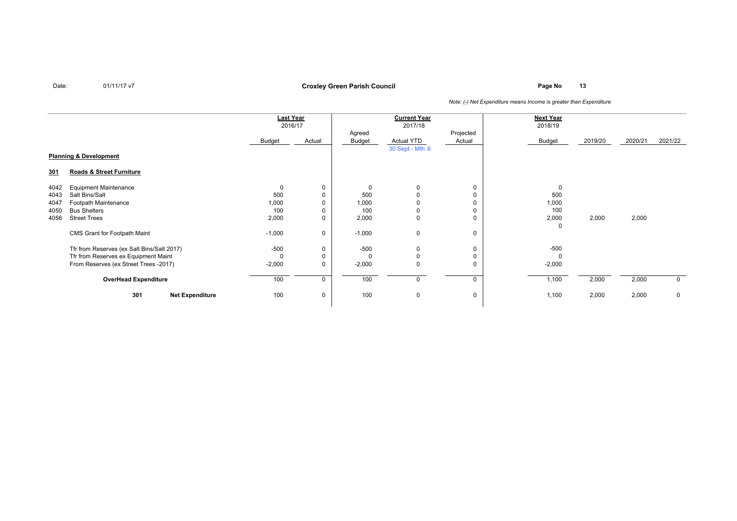### **Page No <sup>13</sup> Croxley Green Parish Council**

|            |                                            | <b>Last Year</b><br>2016/17 |        | <b>Current Year</b><br>2017/18 |                 |             | <b>Next Year</b><br>2018/19 |         |         |             |
|------------|--------------------------------------------|-----------------------------|--------|--------------------------------|-----------------|-------------|-----------------------------|---------|---------|-------------|
|            |                                            |                             |        | Agreed                         |                 | Projected   |                             |         |         |             |
|            |                                            | Budget                      | Actual | Budget                         | Actual YTD      | Actual      | Budget                      | 2019/20 | 2020/21 | 2021/22     |
|            |                                            |                             |        |                                | 30 Sept - Mth 6 |             |                             |         |         |             |
|            | <b>Planning &amp; Development</b>          |                             |        |                                |                 |             |                             |         |         |             |
| <u>301</u> | Roads & Street Furniture                   |                             |        |                                |                 |             |                             |         |         |             |
| 4042       | <b>Equipment Maintenance</b>               | $\mathbf 0$                 | 0      | 0                              | 0               | $\mathbf 0$ | $\Omega$                    |         |         |             |
| 4043       | Salt Bins/Salt                             | 500                         | 0      | 500                            | 0               | $\mathbf 0$ | 500                         |         |         |             |
| 4047       | Footpath Maintenance                       | 1,000                       |        | 1,000                          |                 | $\mathbf 0$ | 1,000                       |         |         |             |
| 4050       | <b>Bus Shelters</b>                        | 100                         |        | 100                            | 0               | $\mathbf 0$ | 100                         |         |         |             |
| 4056       | <b>Street Trees</b>                        | 2,000                       | 0      | 2,000                          | 0               | $\mathbf 0$ | 2,000<br>0                  | 2,000   | 2,000   |             |
|            | CMS Grant for Footpath Maint               | $-1,000$                    | 0      | $-1,000$                       | 0               | 0           |                             |         |         |             |
|            | Tfr from Reserves (ex Salt Bins/Salt 2017) | $-500$                      | 0      | $-500$                         | 0               | $\mathbf 0$ | $-500$                      |         |         |             |
|            | Tfr from Reserves ex Equipment Maint       | $\Omega$                    |        | $\Omega$                       | $\Omega$        | $\mathbf 0$ | $\Omega$                    |         |         |             |
|            | From Reserves (ex Street Trees -2017)      | $-2,000$                    | 0      | $-2,000$                       | 0               | $\mathbf 0$ | $-2,000$                    |         |         |             |
|            | <b>OverHead Expenditure</b>                | 100                         | 0      | 100                            | 0               | $\mathbf 0$ | 1,100                       | 2,000   | 2,000   | $\mathbf 0$ |
|            | 301<br><b>Net Expenditure</b>              | 100                         | 0      | 100                            | $\mathbf 0$     | $\mathbf 0$ | 1,100                       | 2,000   | 2,000   | $\mathbf 0$ |
|            |                                            |                             |        |                                |                 |             |                             |         |         |             |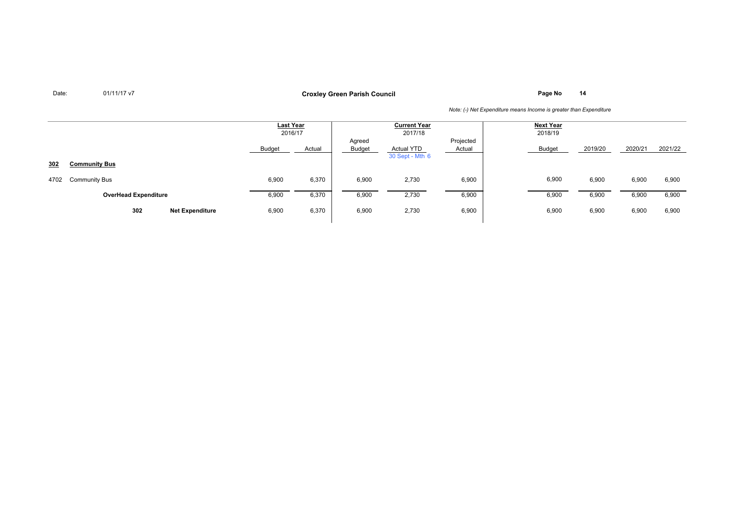**Page No <sup>14</sup> Croxley Green Parish Council**

|      |                               | <b>Last Year</b><br>2016/17 |        | <b>Current Year</b><br>2017/18 |                               |                     | <b>Next Year</b><br>2018/19 |         |         |         |
|------|-------------------------------|-----------------------------|--------|--------------------------------|-------------------------------|---------------------|-----------------------------|---------|---------|---------|
|      |                               | Budget                      | Actual | Agreed<br>Budget               | Actual YTD<br>30 Sept - Mth 6 | Projected<br>Actual | <b>Budget</b>               | 2019/20 | 2020/21 | 2021/22 |
| 302  | <b>Community Bus</b>          |                             |        |                                |                               |                     |                             |         |         |         |
| 4702 | Community Bus                 | 6,900                       | 6,370  | 6,900                          | 2,730                         | 6,900               | 6,900                       | 6,900   | 6,900   | 6,900   |
|      | <b>OverHead Expenditure</b>   | 6,900                       | 6,370  | 6,900                          | 2,730                         | 6,900               | 6,900                       | 6,900   | 6,900   | 6,900   |
|      | 302<br><b>Net Expenditure</b> | 6,900                       | 6,370  | 6,900                          | 2,730                         | 6,900               | 6,900                       | 6,900   | 6,900   | 6,900   |